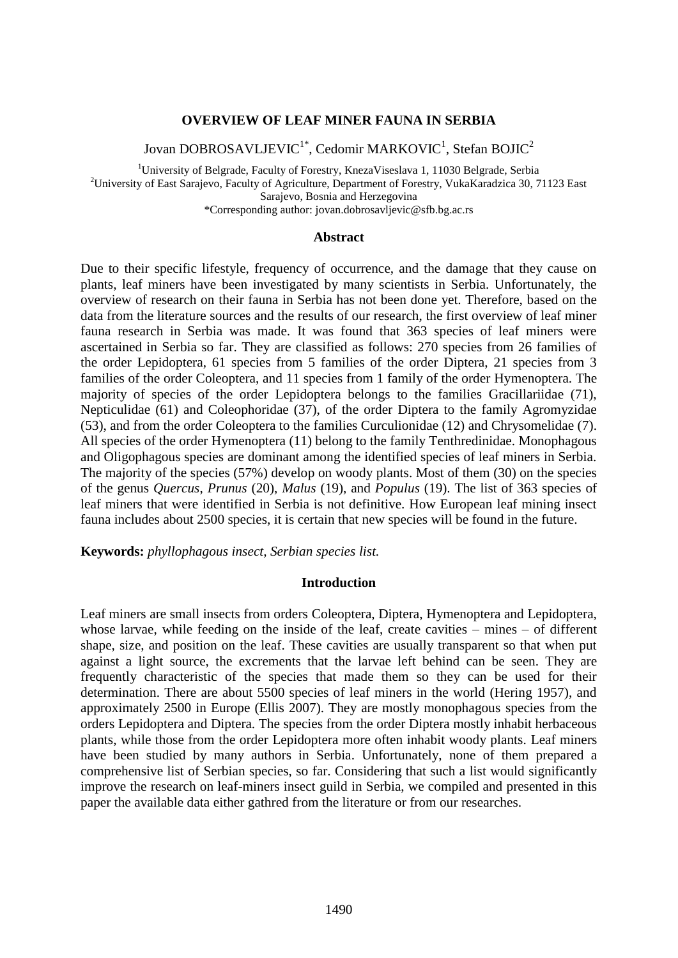# **OVERVIEW OF LEAF MINER FAUNA IN SERBIA**

Jovan DOBROSAVLJEVIC $^{1^*}$ , Cedomir MARKOVIC $^1$ , Stefan BOJIC $^2$ 

<sup>1</sup>University of Belgrade, Faculty of Forestry, KnezaViseslava 1, 11030 Belgrade, Serbia <sup>2</sup>University of East Sarajevo, Faculty of Agriculture, Department of Forestry, VukaKaradzica 30, 71123 East Sarajevo, Bosnia and Herzegovina \*Corresponding author: jovan.dobrosavljevic@sfb.bg.ac.rs

### **Abstract**

Due to their specific lifestyle, frequency of occurrence, and the damage that they cause on plants, leaf miners have been investigated by many scientists in Serbia. Unfortunately, the overview of research on their fauna in Serbia has not been done yet. Therefore, based on the data from the literature sources and the results of our research, the first overview of leaf miner fauna research in Serbia was made. It was found that 363 species of leaf miners were ascertained in Serbia so far. They are classified as follows: 270 species from 26 families of the order Lepidoptera, 61 species from 5 families of the order Diptera, 21 species from 3 families of the order Coleoptera, and 11 species from 1 family of the order Hymenoptera. The majority of species of the order Lepidoptera belongs to the families Gracillariidae (71), Nepticulidae (61) and Coleophoridae (37), of the order Diptera to the family Agromyzidae (53), and from the order Coleoptera to the families Curculionidae (12) and Chrysomelidae (7). All species of the order Hymenoptera (11) belong to the family Tenthredinidae. Monophagous and Oligophagous species are dominant among the identified species of leaf miners in Serbia. The majority of the species (57%) develop on woody plants. Most of them (30) on the species of the genus *Quercus*, *Prunus* (20), *Malus* (19), and *Populus* (19). The list of 363 species of leaf miners that were identified in Serbia is not definitive. How European leaf mining insect fauna includes about 2500 species, it is certain that new species will be found in the future.

**Keywords:** *phyllophagous insect, Serbian species list.*

## **Introduction**

Leaf miners are small insects from orders Coleoptera, Diptera, Hymenoptera and Lepidoptera, whose larvae, while feeding on the inside of the leaf, create cavities – mines – of different shape, size, and position on the leaf. These cavities are usually transparent so that when put against a light source, the excrements that the larvae left behind can be seen. They are frequently characteristic of the species that made them so they can be used for their determination. There are about 5500 species of leaf miners in the world (Hering 1957), and approximately 2500 in Europe (Ellis 2007). They are mostly monophagous species from the orders Lepidoptera and Diptera. The species from the order Diptera mostly inhabit herbaceous plants, while those from the order Lepidoptera more often inhabit woody plants. Leaf miners have been studied by many authors in Serbia. Unfortunately, none of them prepared a comprehensive list of Serbian species, so far. Considering that such a list would significantly improve the research on leaf-miners insect guild in Serbia, we compiled and presented in this paper the available data either gathred from the literature or from our researches.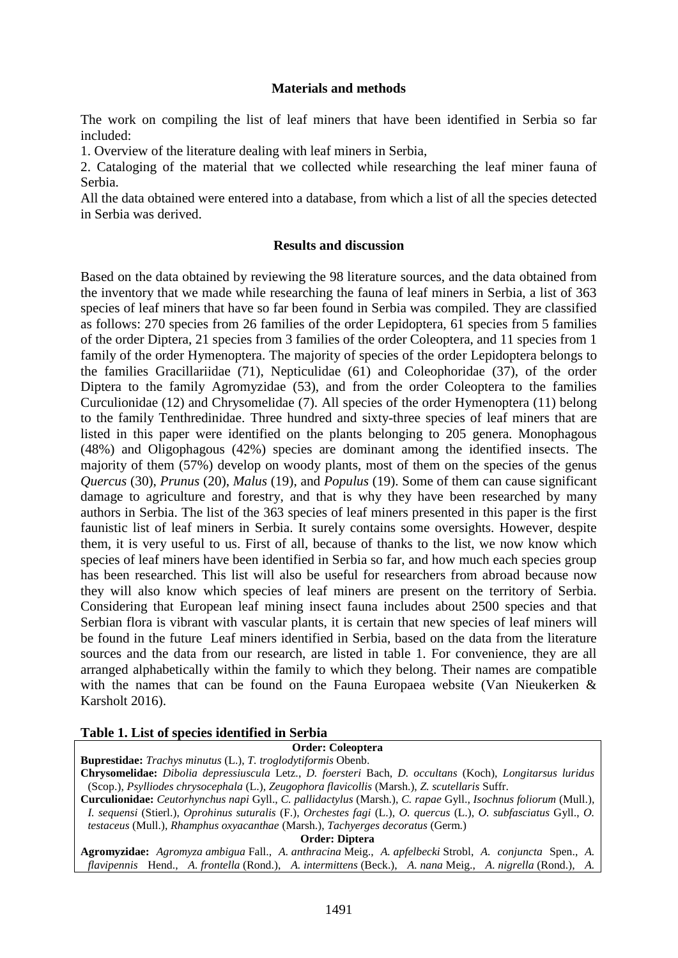## **Materials and methods**

The work on compiling the list of leaf miners that have been identified in Serbia so far included:

1. Overview of the literature dealing with leaf miners in Serbia,

2. Cataloging of the material that we collected while researching the leaf miner fauna of Serbia.

All the data obtained were entered into a database, from which a list of all the species detected in Serbia was derived.

## **Results and discussion**

Based on the data obtained by reviewing the 98 literature sources, and the data obtained from the inventory that we made while researching the fauna of leaf miners in Serbia, a list of 363 species of leaf miners that have so far been found in Serbia was compiled. They are classified as follows: 270 species from 26 families of the order Lepidoptera, 61 species from 5 families of the order Diptera, 21 species from 3 families of the order Coleoptera, and 11 species from 1 family of the order Hymenoptera. The majority of species of the order Lepidoptera belongs to the families Gracillariidae (71), Nepticulidae (61) and Coleophoridae (37), of the order Diptera to the family Agromyzidae (53), and from the order Coleoptera to the families Curculionidae (12) and Chrysomelidae (7). All species of the order Hymenoptera (11) belong to the family Tenthredinidae. Three hundred and sixty-three species of leaf miners that are listed in this paper were identified on the plants belonging to 205 genera. Monophagous (48%) and Oligophagous (42%) species are dominant among the identified insects. The majority of them (57%) develop on woody plants, most of them on the species of the genus *Quercus* (30), *Prunus* (20), *Malus* (19), and *Populus* (19). Some of them can cause significant damage to agriculture and forestry, and that is why they have been researched by many authors in Serbia. The list of the 363 species of leaf miners presented in this paper is the first faunistic list of leaf miners in Serbia. It surely contains some oversights. However, despite them, it is very useful to us. First of all, because of thanks to the list, we now know which species of leaf miners have been identified in Serbia so far, and how much each species group has been researched. This list will also be useful for researchers from abroad because now they will also know which species of leaf miners are present on the territory of Serbia. Considering that European leaf mining insect fauna includes about 2500 species and that Serbian flora is vibrant with vascular plants, it is certain that new species of leaf miners will be found in the future Leaf miners identified in Serbia, based on the data from the literature sources and the data from our research, are listed in table 1. For convenience, they are all arranged alphabetically within the family to which they belong. Their names are compatible with the names that can be found on the Fauna Europaea website (Van Nieukerken & Karsholt 2016).

# **Table 1. List of species identified in Serbia**

## **Order: Coleoptera**

**Buprestidae:** *Trachys minutus* (L.), *T. troglodytiformis* Obenb.

**Chrysomelidae:** *Dibolia depressiuscula* Letz., *D. foersteri* Bach, *D. occultans* (Koch), *Longitarsus luridus* (Scop.), *Psylliodes chrysocephala* (L.), *Zeugophora flavicollis* (Marsh.), *Z. scutellaris* Suffr.

**Curculionidae:** *Ceutorhynchus napi* Gyll., *C. pallidactylus* (Marsh.), *C. rapae* Gyll., *Isochnus foliorum* (Mull.), *I. sequensi* (Stierl.), *Oprohinus suturalis* (F.), *Orchestes fagi* (L.), *O. quercus* (L.), *O. subfasciatus* Gyll., *O. testaceus* (Mull.), *Rhamphus oxyacanthae* (Marsh.), *Tachyerges decoratus* (Germ.)

**Order: Diptera**

**Agromyzidae:** *Agromyza ambigua* Fall., *A. anthracina* Meig., *A. apfelbecki* Strobl, *A. conjuncta* Spen., *A. flavipennis* Hend., *A. frontella* (Rond.), *A. intermittens* (Beck.), *A. nana* Meig., *A. nigrella* (Rond.), *A.*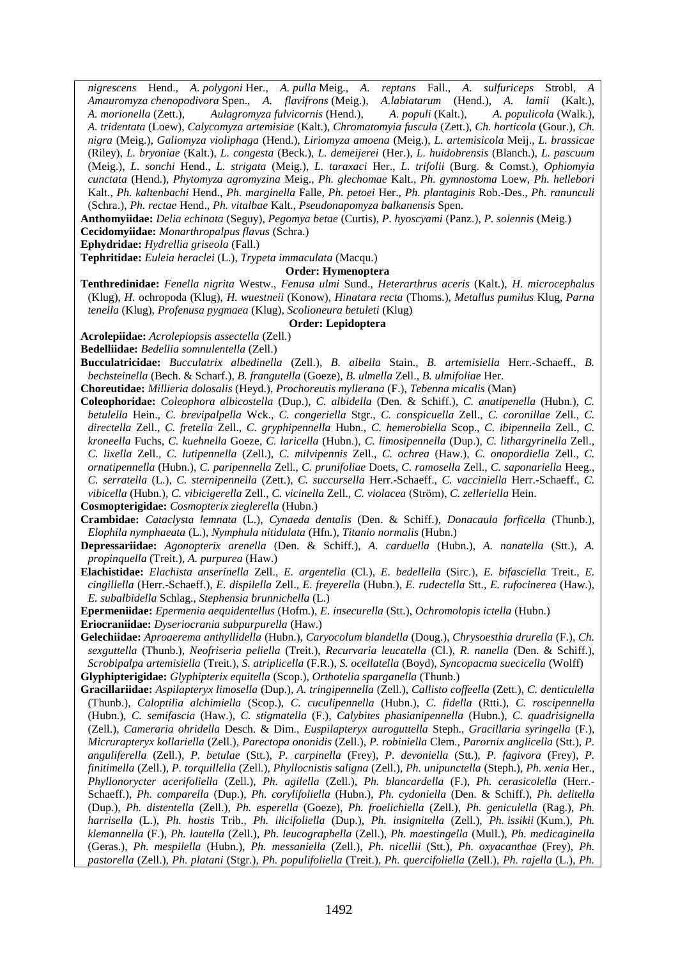*nigrescens* Hend., *A. polygoni* Her., *A. pulla* Meig., *A. reptans* Fall., *A. sulfuriceps* Strobl, *A Amauromyza chenopodivora* Spen., *A. flavifrons* (Meig.), *A.labiatarum* (Hend.), *A. lamii* (Kalt.), *A. morionella* (Zett.), *Aulagromyza fulvicornis* (Hend.), *A. populi* (Kalt.), *A. populicola* (Walk.), *A. tridentata* (Loew), *Calycomyza artemisiae* (Kalt.), *Chromatomyia fuscula* (Zett.), *Ch. horticola* (Gour.), *Ch. nigra* (Meig.), *Galiomyza violiphaga* (Hend.), *Liriomyza amoena* (Meig.), *L. artemisicola* Meij., *L. brassicae* (Riley), *L. bryoniae* (Kalt.), *L. congesta* (Beck.), *L. demeijerei* (Her.), *L. huidobrensis* (Blanch.), *L. pascuum* (Meig.), *L. sonchi* Hend., *L. strigata* (Meig.), *L. taraxaci* Her., *L. trifolii* (Burg. & Comst.), *Ophiomyia cunctata* (Hend.), *Phytomyza agromyzina* Meig., *Ph. glechomae* Kalt., *Ph. gymnostoma* Loew, *Ph. hellebori* Kalt., *Ph. kaltenbachi* Hend., *Ph. marginella* Falle, *Ph. petoei* Her., *Ph. plantaginis* Rob.-Des., *Ph. ranunculi* (Schra.), *Ph. rectae* Hend., *Ph. vitalbae* Kalt., *Pseudonapomyza balkanensis* Spen.

**Anthomyiidae:** *Delia echinata* (Seguy), *Pegomya betae* (Curtis), *P. hyoscyami* (Panz.), *P. solennis* (Meig.)

**Cecidomyiidae:** *Monarthropalpus flavus* (Schra.)

**Ephydridae:** *Hydrellia griseola* (Fall.)

## **Tephritidae:** *Euleia heraclei* (L.), *Trypeta immaculata* (Macqu.)

**Order: Hymenoptera**

**Tenthredinidae:** *Fenella nigrita* Westw., *Fenusa ulmi* Sund., *Heterarthrus aceris* (Kalt.), *H. microcephalus* (Klug), *H.* ochropoda (Klug), *H. wuestneii* (Konow), *Hinatara recta* (Thoms.), *Metallus pumilus* Klug, *Parna tenella* (Klug), *Profenusa pygmaea* (Klug), *Scolioneura betuleti* (Klug)

#### **Order: Lepidoptera**

**Acrolepiidae:** *Acrolepiopsis assectella* (Zell.)

**Bedelliidae:** *Bedellia somnulentella* (Zell.)

**Bucculatricidae:** *Bucculatrix albedinella* (Zell.), *B. albella* Stain., *B. artemisiella* Herr.-Schaeff., *B. bechsteinella* (Bech. & Scharf.), *B. frangutella* (Goeze), *B. ulmella* Zell., *B. ulmifoliae* Her.

**Choreutidae:** *Millieria dolosalis* (Heyd.), *Prochoreutis myllerana* (F.), *Tebenna micalis* (Man)

**Coleophoridae:** *Coleophora albicostella* (Dup.), *C. albidella* (Den. & Schiff.), *C. anatipenella* (Hubn.), *C. betulella* Hein., *C. brevipalpella* Wck., *C. congeriella* Stgr., *C. conspicuella* Zell., *C. coronillae* Zell., *C. directella* Zell., *C. fretella* Zell., *C. gryphipennella* Hubn., *C. hemerobiella* Scop., *C. ibipennella* Zell., *C. kroneella* Fuchs, *C. kuehnella* Goeze, *C. laricella* (Hubn.), *C. limosipennella* (Dup.), *C. lithargyrinella* Zell., *C. lixella* Zell., *C. lutipennella* (Zell.), *C. milvipennis* Zell., *C. ochrea* (Haw.), *C. onopordiella* Zell., *C. ornatipennella* (Hubn.), *C. paripennella* Zell., *C. prunifoliae* Doets, *C. ramosella* Zell., *C. saponariella* Heeg., *C. serratella* (L.), *C. sternipennella* (Zett.), *C. succursella* Herr.-Schaeff., *C. vacciniella* Herr.-Schaeff., *C. vibicella* (Hubn.), *C. vibicigerella* Zell., *C. vicinella* Zell., *C. violacea* (Ström), *C. zelleriella* Hein.

**Cosmopterigidae:** *Cosmopterix zieglerella* (Hubn.)

**Crambidae:** *Cataclysta lemnata* (L.), *Cynaeda dentalis* (Den. & Schiff.), *Donacaula forficella* (Thunb.), *Elophila nymphaeata* (L.), *Nymphula nitidulata* (Hfn.), *Titanio normalis* (Hubn.)

**Depressariidae:** *Agonopterix arenella* (Den. & Schiff.), *A. carduella* (Hubn.), *A. nanatella* (Stt.), *A. propinquella* (Treit.), *A. purpurea* (Haw.)

**Elachistidae:** *Elachista anserinella* Zell., *E. argentella* (Cl.), *E. bedellella* (Sirc.), *E. bifasciella* Treit., *E. cingillella* (Herr.-Schaeff.), *E. dispilella* Zell., *E. freyerella* (Hubn.), *E. rudectella* Stt., *E. rufocinerea* (Haw.), *E. subalbidella* Schlag., *Stephensia brunnichella* (L.)

**Epermeniidae:** *Epermenia aequidentellus* (Hofm.), *E. insecurella* (Stt.), *Ochromolopis ictella* (Hubn.) **Eriocraniidae:** *Dyseriocrania subpurpurella* (Haw.)

**Gelechiidae:** *Aproaerema anthyllidella* (Hubn.), *Caryocolum blandella* (Doug.), *Chrysoesthia drurella* (F.), *Ch. sexguttella* (Thunb.), *Neofriseria peliella* (Treit.), *Recurvaria leucatella* (Cl.), *R. nanella* (Den. & Schiff.), *Scrobipalpa artemisiella* (Treit.), *S. atriplicella* (F.R.), *S. ocellatella* (Boyd), *Syncopacma suecicella* (Wolff) **Glyphipterigidae:** *Glyphipterix equitella* (Scop.), *Orthotelia sparganella* (Thunb.)

**Gracillariidae:** *Aspilapteryx limosella* (Dup.), *A. tringipennella* (Zell.), *Callisto coffeella* (Zett.), *C. denticulella* (Thunb.), *Caloptilia alchimiella* (Scop.), *C. cuculipennella* (Hubn.), *C. fidella* (Rtti.), *C. roscipennella* (Hubn.), *C. semifascia* (Haw.), *C. stigmatella* (F.), *Calybites phasianipennella* (Hubn.), *C. quadrisignella* (Zell.), *Cameraria ohridella* Desch. & Dim., *Euspilapteryx auroguttella* Steph., *Gracillaria syringella* (F.), *Micrurapteryx kollariella* (Zell.), *Parectopa ononidis* (Zell.), *P. robiniella* Clem., *Parornix anglicella* (Stt.), *P. anguliferella* (Zell.), *P. betulae* (Stt.), *P. carpinella* (Frey), *P. devoniella* (Stt.), *P. fagivora* (Frey), *P. finitimella* (Zell.), *P. torquillella* (Zell.), *Phyllocnistis saligna* (Zell.), *Ph. unipunctella* (Steph.), *Ph. xenia* Her., *Phyllonorycter acerifoliella* (Zell.), *Ph. agilella* (Zell.), *Ph. blancardella* (F.), *Ph. cerasicolella* (Herr.- Schaeff.), *Ph. comparella* (Dup.), *Ph. corylifoliella* (Hubn.), *Ph. cydoniella* (Den. & Schiff.), *Ph. delitella* (Dup.), *Ph. distentella* (Zell.), *Ph. esperella* (Goeze), *Ph. froelichiella* (Zell.), *Ph. geniculella* (Rag.), *Ph. harrisella* (L.), *Ph. hostis* Trib., *Ph. ilicifoliella* (Dup.), *Ph. insignitella* (Zell.), *Ph. issikii* (Kum.), *Ph. klemannella* (F.), *Ph. lautella* (Zell.), *Ph. leucographella* (Zell.), *Ph. maestingella* (Mull.), *Ph. medicaginella* (Geras.), *Ph. mespilella* (Hubn.), *Ph. messaniella* (Zell.), *Ph. nicellii* (Stt.), *Ph. oxyacanthae* (Frey), *Ph. pastorella* (Zell.), *Ph. platani* (Stgr.), *Ph. populifoliella* (Treit.), *Ph. quercifoliella* (Zell.), *Ph. rajella* (L.), *Ph.*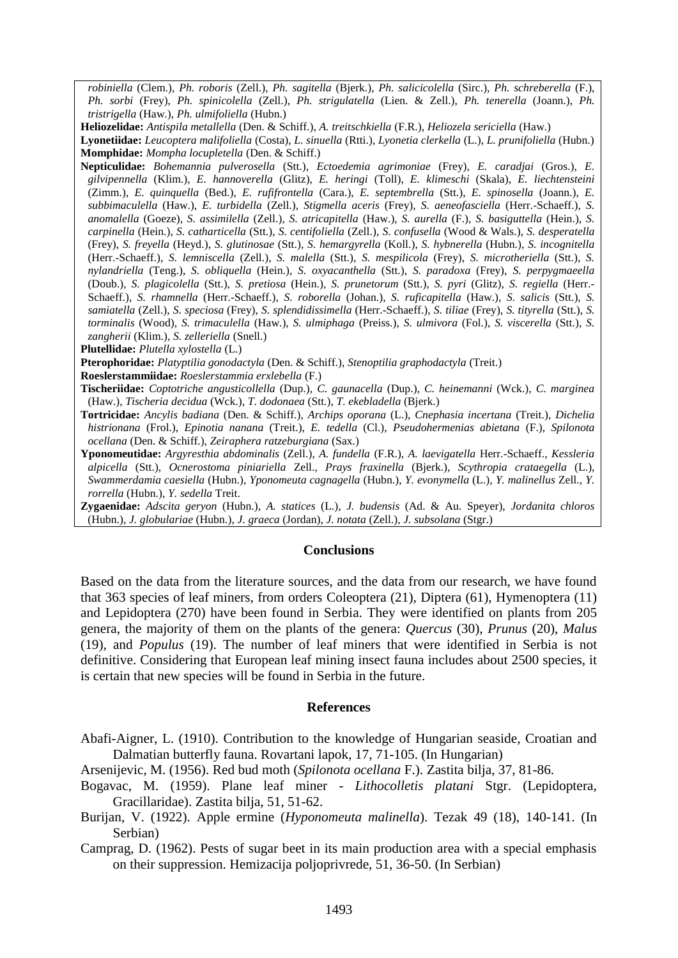*robiniella* (Clem.), *Ph. roboris* (Zell.), *Ph. sagitella* (Bjerk.), *Ph. salicicolella* (Sirc.), *Ph. schreberella* (F.), *Ph. sorbi* (Frey), *Ph. spinicolella* (Zell.), *Ph. strigulatella* (Lien. & Zell.), *Ph. tenerella* (Joann.), *Ph. tristrigella* (Haw.), *Ph. ulmifoliella* (Hubn.)

**Heliozelidae:** *Antispila metallella* (Den. & Schiff.), *A. treitschkiella* (F.R.), *Heliozela sericiella* (Haw.)

**Lyonetiidae:** *Leucoptera malifoliella* (Costa), *L. sinuella* (Rtti.), *Lyonetia clerkella* (L.), *L. prunifoliella* (Hubn.) **Momphidae:** *Mompha locupletella* (Den. & Schiff.)

**Nepticulidae:** *Bohemannia pulverosella* (Stt.), *Ectoedemia agrimoniae* (Frey), *E. caradjai* (Gros.), *E. gilvipennella* (Klim.), *E. hannoverella* (Glitz), *E. heringi* (Toll), *E. klimeschi* (Skala), *E. liechtensteini* (Zimm.), *E. quinquella* (Bed.), *E. rufifrontella* (Cara.), *E. septembrella* (Stt.), *E. spinosella* (Joann.), *E. subbimaculella* (Haw.), *E. turbidella* (Zell.), *Stigmella aceris* (Frey), *S. aeneofasciella* (Herr.-Schaeff.), *S. anomalella* (Goeze), *S. assimilella* (Zell.), *S. atricapitella* (Haw.), *S. aurella* (F.), *S. basiguttella* (Hein.), *S. carpinella* (Hein.), *S. catharticella* (Stt.), *S. centifoliella* (Zell.), *S. confusella* (Wood & Wals.), *S. desperatella* (Frey), *S. freyella* (Heyd.), *S. glutinosae* (Stt.), *S. hemargyrella* (Koll.), *S. hybnerella* (Hubn.), *S. incognitella* (Herr.-Schaeff.), *S. lemniscella* (Zell.), *S. malella* (Stt.), *S. mespilicola* (Frey), *S. microtheriella* (Stt.), *S. nylandriella* (Teng.), *S. obliquella* (Hein.), *S. oxyacanthella* (Stt.), *S. paradoxa* (Frey), *S. perpygmaeella*  (Doub.), *S. plagicolella* (Stt.), *S. pretiosa* (Hein.), *S. prunetorum* (Stt.), *S. pyri* (Glitz), *S. regiella* (Herr.- Schaeff.), *S. rhamnella* (Herr.-Schaeff.), *S. roborella* (Johan.), *S. ruficapitella* (Haw.), *S. salicis* (Stt.), *S. samiatella* (Zell.), *S. speciosa* (Frey), *S. splendidissimella* (Herr.-Schaeff.), *S. tiliae* (Frey), *S. tityrella* (Stt.), *S. torminalis* (Wood), *S. trimaculella* (Haw.), *S. ulmiphaga* (Preiss.), *S. ulmivora* (Fol.), *S. viscerella* (Stt.), *S. zangherii* (Klim.), *S. zelleriella* (Snell.)

**Pterophoridae:** *Platyptilia gonodactyla* (Den. & Schiff.), *Stenoptilia graphodactyla* (Treit.)

**Roeslerstammiidae:** *Roeslerstammia erxlebella* (F.)

- **Tischeriidae:** *Coptotriche angusticollella* (Dup.), *C. gaunacella* (Dup.), *C. heinemanni* (Wck.), *C. marginea* (Haw.), *Tischeria decidua* (Wck.), *T. dodonaea* (Stt.), *T. ekebladella* (Bjerk.)
- **Tortricidae:** *Ancylis badiana* (Den. & Schiff.), *Archips oporana* (L.), *Cnephasia incertana* (Treit.), *Dichelia histrionana* (Frol.), *Epinotia nanana* (Treit.), *E. tedella* (Cl.), *Pseudohermenias abietana* (F.), *Spilonota ocellana* (Den. & Schiff.), *Zeiraphera ratzeburgiana* (Sax.)
- **Yponomeutidae:** *Argyresthia abdominalis* (Zell.), *A. fundella* (F.R.), *A. laevigatella* Herr.-Schaeff., *Kessleria alpicella* (Stt.), *Ocnerostoma piniariella* Zell., *Prays fraxinella* (Bjerk.), *Scythropia crataegella* (L.), *Swammerdamia caesiella* (Hubn.), *Yponomeuta cagnagella* (Hubn.), *Y. evonymella* (L.), *Y. malinellus* Zell., *Y. rorrella* (Hubn.), *Y. sedella* Treit.

**Zygaenidae:** *Adscita geryon* (Hubn.), *A. statices* (L.), *J. budensis* (Ad. & Au. Speyer), *Jordanita chloros* (Hubn.), *J. globulariae* (Hubn.), *J. graeca* (Jordan), *J. notata* (Zell.), *J. subsolana* (Stgr.)

#### **Conclusions**

Based on the data from the literature sources, and the data from our research, we have found that 363 species of leaf miners, from orders Coleoptera (21), Diptera (61), Hymenoptera (11) and Lepidoptera (270) have been found in Serbia. They were identified on plants from 205 genera, the majority of them on the plants of the genera: *Quercus* (30), *Prunus* (20), *Malus* (19), and *Populus* (19). The number of leaf miners that were identified in Serbia is not definitive. Considering that European leaf mining insect fauna includes about 2500 species, it is certain that new species will be found in Serbia in the future.

#### **References**

Abafi-Aigner, L. (1910). Contribution to the knowledge of Hungarian seaside, Croatian and Dalmatian butterfly fauna. Rovartani lapok, 17, 71-105. (In Hungarian)

Arsenijevic, M. (1956). Red bud moth (*Spilonota ocellana* F.). Zastita bilja, 37, 81-86.

- Bogavac, M. (1959). Plane leaf miner *Lithocolletis platani* Stgr. (Lepidoptera, Gracillaridae). Zastita bilja, 51, 51-62.
- Burijan, V. (1922). Apple ermine (*Hyponomeuta malinella*). Tezak 49 (18), 140-141. (In Serbian)

Camprag, D. (1962). Pests of sugar beet in its main production area with a special emphasis on their suppression. Hemizacija poljoprivrede, 51, 36-50. (In Serbian)

**Plutellidae:** *Plutella xylostella* (L.)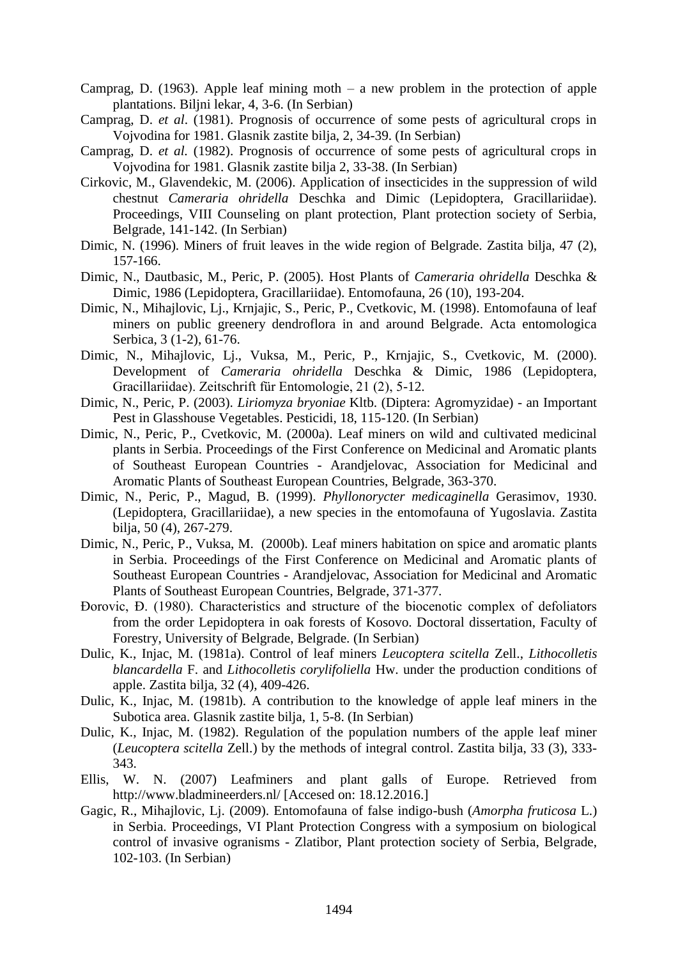- Camprag, D. (1963). Apple leaf mining moth a new problem in the protection of apple plantations. Biljni lekar, 4, 3-6. (In Serbian)
- Camprag, D. *et al*. (1981). Prognosis of occurrence of some pests of agricultural crops in Vojvodina for 1981. Glasnik zastite bilja, 2, 34-39. (In Serbian)
- Camprag, D. *et al.* (1982). Prognosis of occurrence of some pests of agricultural crops in Vojvodina for 1981. Glasnik zastite bilja 2, 33-38. (In Serbian)
- Cirkovic, M., Glavendekic, M. (2006). Application of insecticides in the suppression of wild chestnut *Cameraria ohridella* Deschka and Dimic (Lepidoptera, Gracillariidae). Proceedings, VIII Counseling on plant protection, Plant protection society of Serbia, Belgrade, 141-142. (In Serbian)
- Dimic, N. (1996). Miners of fruit leaves in the wide region of Belgrade. Zastita bilja, 47 (2), 157-166.
- Dimic, N., Dautbasic, M., Peric, P. (2005). Host Plants of *Cameraria ohridella* Deschka & Dimic, 1986 (Lepidoptera, Gracillariidae). Entomofauna, 26 (10), 193-204.
- Dimic, N., Mihajlovic, Lj., Krnjajic, S., Peric, P., Cvetkovic, M. (1998). Entomofauna of leaf miners on public greenery dendroflora in and around Belgrade. Acta entomologica Serbica, 3 (1-2), 61-76.
- Dimic, N., Mihajlovic, Lj., Vuksa, M., Peric, P., Krnjajic, S., Cvetkovic, M. (2000). Development of *Cameraria ohridella* Deschka & Dimic, 1986 (Lepidoptera, Gracillariidae). Zeitschrift für Entomologie, 21 (2), 5-12.
- Dimic, N., Peric, P. (2003). *Liriomyza bryoniae* Kltb. (Diptera: Agromyzidae) an Important Pest in Glasshouse Vegetables. Pesticidi, 18, 115-120. (In Serbian)
- Dimic, N., Peric, P., Cvetkovic, M. (2000a). Leaf miners on wild and cultivated medicinal plants in Serbia. Proceedings of the First Conference on Medicinal and Aromatic plants of Southeast European Countries - Arandjelovac, Association for Medicinal and Aromatic Plants of Southeast European Countries, Belgrade, 363-370.
- Dimic, N., Peric, P., Magud, B. (1999). *Phyllonorycter medicaginella* Gerasimov, 1930. (Lepidoptera, Gracillariidae), a new species in the entomofauna of Yugoslavia. Zastita bilja, 50 (4), 267-279.
- Dimic, N., Peric, P., Vuksa, M. (2000b). Leaf miners habitation on spice and aromatic plants in Serbia. Proceedings of the First Conference on Medicinal and Aromatic plants of Southeast European Countries - Arandjelovac, Association for Medicinal and Aromatic Plants of Southeast European Countries, Belgrade, 371-377.
- Đorovic, Đ. (1980). Characteristics and structure of the biocenotic complex of defoliators from the order Lepidoptera in oak forests of Kosovo. Doctoral dissertation, Faculty of Forestry, University of Belgrade, Belgrade. (In Serbian)
- Dulic, K., Injac, M. (1981a). Control of leaf miners *Leucoptera scitella* Zell., *Lithocolletis blancardella* F. and *Lithocolletis corylifoliella* Hw. under the production conditions of apple. Zastita bilja, 32 (4), 409-426.
- Dulic, K., Injac, M. (1981b). A contribution to the knowledge of apple leaf miners in the Subotica area. Glasnik zastite bilja, 1, 5-8. (In Serbian)
- Dulic, K., Injac, M. (1982). Regulation of the population numbers of the apple leaf miner (*Leucoptera scitella* Zell.) by the methods of integral control. Zastita bilja, 33 (3), 333- 343.
- Ellis, W. N. (2007) Leafminers and plant galls of Europe. Retrieved from http://www.bladmineerders.nl/ [Accesed on: 18.12.2016.]
- Gagic, R., Mihajlovic, Lj. (2009). Entomofauna of false indigo-bush (*Amorpha fruticosa* L.) in Serbia. Proceedings, VI Plant Protection Congress with a symposium on biological control of invasive ogranisms - Zlatibor, Plant protection society of Serbia, Belgrade, 102-103. (In Serbian)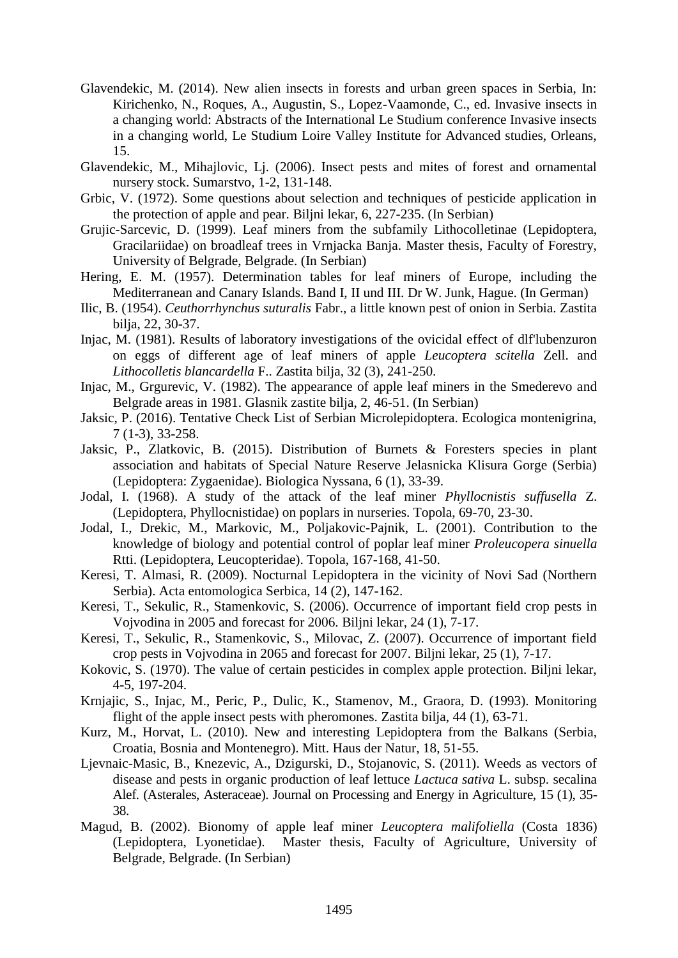- Glavendekic, M. (2014). New alien insects in forests and urban green spaces in Serbia, In: Kirichenko, N., Roques, A., Augustin, S., Lopez-Vaamonde, C., ed. Invasive insects in a changing world: Abstracts of the International Le Studium conference Invasive insects in a changing world, Le Studium Loire Valley Institute for Advanced studies, Orleans, 15.
- Glavendekic, M., Mihajlovic, Lj. (2006). Insect pests and mites of forest and ornamental nursery stock. Sumarstvo, 1-2, 131-148.
- Grbic, V. (1972). Some questions about selection and techniques of pesticide application in the protection of apple and pear. Biljni lekar, 6, 227-235. (In Serbian)
- Grujic-Sarcevic, D. (1999). Leaf miners from the subfamily Lithocolletinae (Lepidoptera, Gracilariidae) on broadleaf trees in Vrnjacka Banja. Master thesis, Faculty of Forestry, University of Belgrade, Belgrade. (In Serbian)
- Hering, E. M. (1957). Determination tables for leaf miners of Europe, including the Mediterranean and Canary Islands. Band I, II und III. Dr W. Junk, Hague. (In German)
- Ilic, B. (1954). *Ceuthorrhynchus suturalis* Fabr., a little known pest of onion in Serbia. Zastita bilja, 22, 30-37.
- Injac, M. (1981). Results of laboratory investigations of the ovicidal effect of dlf'lubenzuron on eggs of different age of leaf miners of apple *Leucoptera scitella* Zell. and *Lithocolletis blancardella* F.. Zastita bilja, 32 (3), 241-250.
- Injac, M., Grgurevic, V. (1982). The appearance of apple leaf miners in the Smederevo and Belgrade areas in 1981. Glasnik zastite bilja, 2, 46-51. (In Serbian)
- Jaksic, P. (2016). Tentative Check List of Serbian Microlepidoptera. Ecologica montenigrina, 7 (1-3), 33-258.
- Jaksic, P., Zlatkovic, B. (2015). Distribution of Burnets & Foresters species in plant association and habitats of Special Nature Reserve Jelasnicka Klisura Gorge (Serbia) (Lepidoptera: Zygaenidae). Biologica Nyssana, 6 (1), 33-39.
- Jodal, I. (1968). A study of the attack of the leaf miner *Phyllocnistis suffusella* Z. (Lepidoptera, Phyllocnistidae) on poplars in nurseries. Topola, 69-70, 23-30.
- Jodal, I., Drekic, M., Markovic, M., Poljakovic-Pajnik, L. (2001). Contribution to the knowledge of biology and potential control of poplar leaf miner *Proleucopera sinuella* Rtti. (Lepidoptera, Leucopteridae). Topola, 167-168, 41-50.
- Keresi, T. Almasi, R. (2009). Nocturnal Lepidoptera in the vicinity of Novi Sad (Northern Serbia). Acta entomologica Serbica, 14 (2), 147-162.
- Keresi, T., Sekulic, R., Stamenkovic, S. (2006). Occurrence of important field crop pests in Vojvodina in 2005 and forecast for 2006. Biljni lekar, 24 (1), 7-17.
- Keresi, T., Sekulic, R., Stamenkovic, S., Milovac, Z. (2007). Occurrence of important field crop pests in Vojvodina in 2065 and forecast for 2007. Biljni lekar, 25 (1), 7-17.
- Kokovic, S. (1970). The value of certain pesticides in complex apple protection. Biljni lekar, 4-5, 197-204.
- Krnjajic, S., Injac, M., Peric, P., Dulic, K., Stamenov, M., Graora, D. (1993). Monitoring flight of the apple insect pests with pheromones. Zastita bilia, 44 (1), 63-71.
- Kurz, M., Horvat, L. (2010). New and interesting Lepidoptera from the Balkans (Serbia, Croatia, Bosnia and Montenegro). Mitt. Haus der Natur, 18, 51-55.
- Ljevnaic-Masic, B., Knezevic, A., Dzigurski, D., Stojanovic, S. (2011). Weeds as vectors of disease and pests in organic production of leaf lettuce *Lactuca sativa* L. subsp. secalina Alef. (Asterales, Asteraceae). Journal on Processing and Energy in Agriculture, 15 (1), 35- 38.
- Magud, B. (2002). Bionomy of apple leaf miner *Leucoptera malifoliella* (Costa 1836) (Lepidoptera, Lyonetidae). Master thesis, Faculty of Agriculture, University of Belgrade, Belgrade. (In Serbian)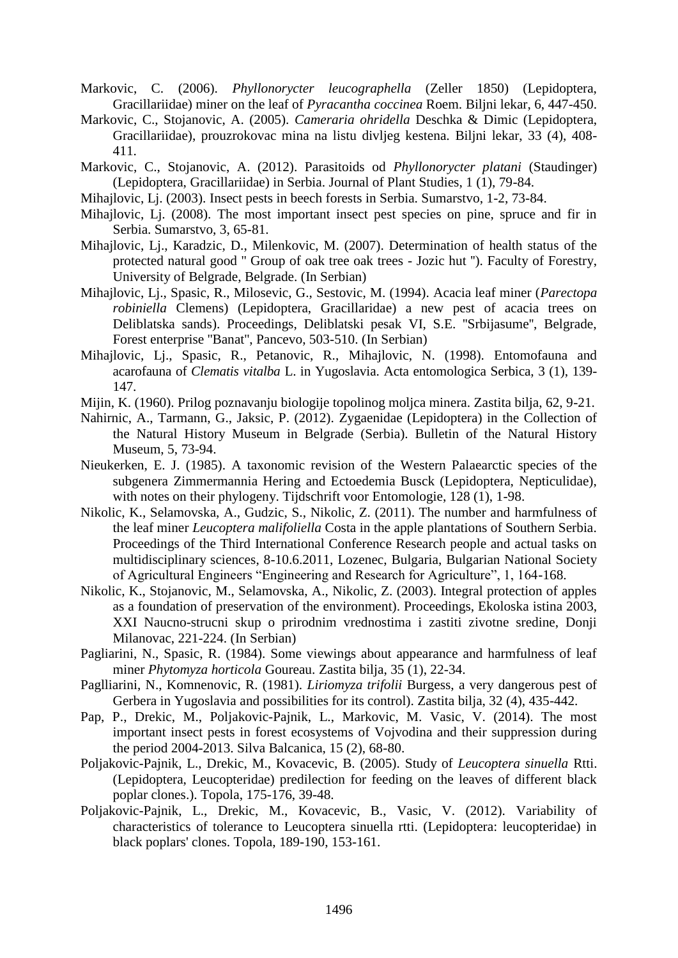- Markovic, C. (2006). *Phyllonorycter leucographella* (Zeller 1850) (Lepidoptera, Gracillariidae) miner on the leaf of *Pyracantha coccinea* Roem. Biljni lekar, 6, 447-450.
- Markovic, C., Stojanovic, A. (2005). *Cameraria ohridella* Deschka & Dimic (Lepidoptera, Gracillariidae), prouzrokovac mina na listu divljeg kestena. Biljni lekar, 33 (4), 408- 411.
- Markovic, C., Stojanovic, A. (2012). Parasitoids od *Phyllonorycter platani* (Staudinger) (Lepidoptera, Gracillariidae) in Serbia. Journal of Plant Studies, 1 (1), 79-84.
- Mihajlovic, Lj. (2003). Insect pests in beech forests in Serbia. Sumarstvo, 1-2, 73-84.
- Mihajlovic, Lj. (2008). The most important insect pest species on pine, spruce and fir in Serbia. Sumarstvo, 3, 65-81.
- Mihajlovic, Lj., Karadzic, D., Milenkovic, M. (2007). Determination of health status of the protected natural good '' Group of oak tree oak trees - Jozic hut ''). Faculty of Forestry, University of Belgrade, Belgrade. (In Serbian)
- Mihajlovic, Lj., Spasic, R., Milosevic, G., Sestovic, M. (1994). Acacia leaf miner (*Parectopa robiniella* Clemens) (Lepidoptera, Gracillaridae) a new pest of acacia trees on Deliblatska sands). Proceedings, Deliblatski pesak VI, S.E. ''Srbijasume'', Belgrade, Forest enterprise ''Banat'', Pancevo, 503-510. (In Serbian)
- Mihajlovic, Lj., Spasic, R., Petanovic, R., Mihajlovic, N. (1998). Entomofauna and acarofauna of *Clematis vitalba* L. in Yugoslavia. Acta entomologica Serbica, 3 (1), 139- 147.
- Mijin, K. (1960). Prilog poznavanju biologije topolinog moljca minera. Zastita bilja, 62, 9-21.
- Nahirnic, A., Tarmann, G., Jaksic, P. (2012). Zygaenidae (Lepidoptera) in the Collection of the Natural History Museum in Belgrade (Serbia). Bulletin of the Natural History Museum, 5, 73-94.
- Nieukerken, E. J. (1985). A taxonomic revision of the Western Palaearctic species of the subgenera Zimmermannia Hering and Ectoedemia Busck (Lepidoptera, Nepticulidae), with notes on their phylogeny. Tijdschrift voor Entomologie, 128 (1), 1-98.
- Nikolic, K., Selamovska, A., Gudzic, S., Nikolic, Z. (2011). The number and harmfulness of the leaf miner *Leucoptera malifoliella* Costa in the apple plantations of Southern Serbia. Proceedings of the Third International Conference Research people and actual tasks on multidisciplinary sciences, 8-10.6.2011, Lozenec, Bulgaria, Bulgarian National Society of Agricultural Engineers "Engineering and Research for Agriculture", 1, 164-168.
- Nikolic, K., Stojanovic, M., Selamovska, A., Nikolic, Z. (2003). Integral protection of apples as a foundation of preservation of the environment). Proceedings, Ekoloska istina 2003, XXI Naucno-strucni skup o prirodnim vrednostima i zastiti zivotne sredine, Donji Milanovac, 221-224. (In Serbian)
- Pagliarini, N., Spasic, R. (1984). Some viewings about appearance and harmfulness of leaf miner *Phytomyza horticola* Goureau. Zastita bilja, 35 (1), 22-34.
- Paglliarini, N., Komnenovic, R. (1981). *Liriomyza trifolii* Burgess, a very dangerous pest of Gerbera in Yugoslavia and possibilities for its control). Zastita bilja, 32 (4), 435-442.
- Pap, P., Drekic, M., Poljakovic-Pajnik, L., Markovic, M. Vasic, V. (2014). The most important insect pests in forest ecosystems of Vojvodina and their suppression during the period 2004-2013. Silva Balcanica, 15 (2), 68-80.
- Poljakovic-Pajnik, L., Drekic, M., Kovacevic, B. (2005). Study of *Leucoptera sinuella* Rtti. (Lepidoptera, Leucopteridae) predilection for feeding on the leaves of different black poplar clones.). Topola, 175-176, 39-48.
- Poljakovic-Pajnik, L., Drekic, M., Kovacevic, B., Vasic, V. (2012). Variability of characteristics of tolerance to Leucoptera sinuella rtti. (Lepidoptera: leucopteridae) in black poplars' clones. Topola, 189-190, 153-161.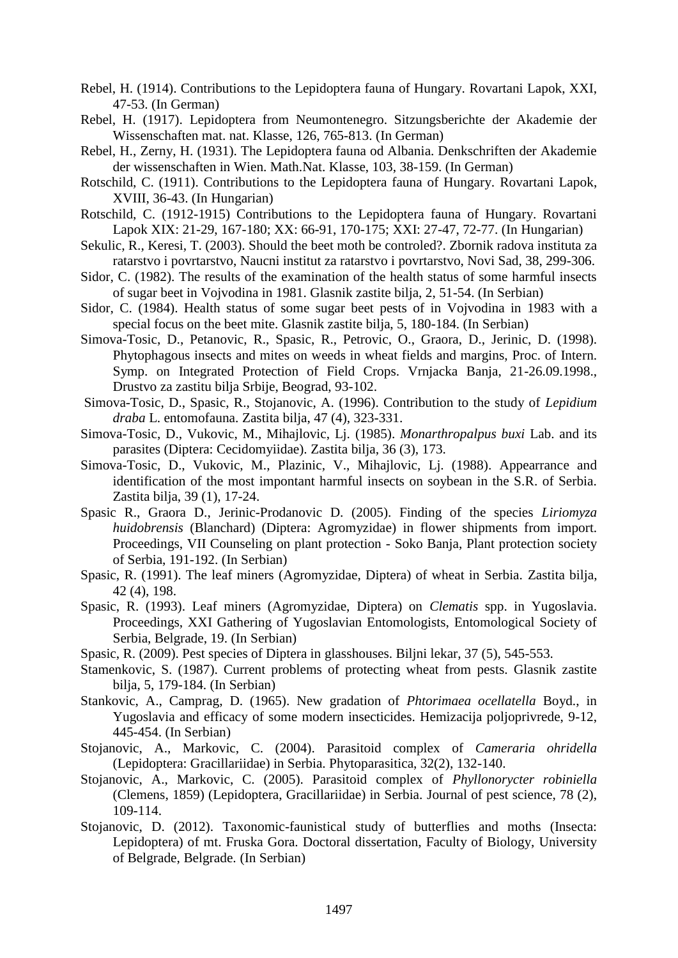- Rebel, H. (1914). Contributions to the Lepidoptera fauna of Hungary. Rovartani Lapok, XXI, 47-53. (In German)
- Rebel, H. (1917). Lepidoptera from Neumontenegro. Sitzungsberichte der Akademie der Wissenschaften mat. nat. Klasse, 126, 765-813. (In German)
- Rebel, H., Zerny, H. (1931). The Lepidoptera fauna od Albania. Denkschriften der Akademie der wissenschaften in Wien. Math.Nat. Klasse, 103, 38-159. (In German)
- Rotschild, C. (1911). Contributions to the Lepidoptera fauna of Hungary. Rovartani Lapok, XVIII, 36-43. (In Hungarian)
- Rotschild, C. (1912-1915) Contributions to the Lepidoptera fauna of Hungary. Rovartani Lapok XIX: 21-29, 167-180; XX: 66-91, 170-175; XXI: 27-47, 72-77. (In Hungarian)
- Sekulic, R., Keresi, T. (2003). Should the beet moth be controled?. Zbornik radova instituta za ratarstvo i povrtarstvo, Naucni institut za ratarstvo i povrtarstvo, Novi Sad, 38, 299-306.
- Sidor, C. (1982). The results of the examination of the health status of some harmful insects of sugar beet in Vojvodina in 1981. Glasnik zastite bilja, 2, 51-54. (In Serbian)
- Sidor, C. (1984). Health status of some sugar beet pests of in Vojvodina in 1983 with a special focus on the beet mite. Glasnik zastite bilja, 5, 180-184. (In Serbian)
- Simova-Tosic, D., Petanovic, R., Spasic, R., Petrovic, O., Graora, D., Jerinic, D. (1998). Phytophagous insects and mites on weeds in wheat fields and margins, Proc. of Intern. Symp. on Integrated Protection of Field Crops. Vrnjacka Banja, 21-26.09.1998., Drustvo za zastitu bilja Srbije, Beograd, 93-102.
- Simova-Tosic, D., Spasic, R., Stojanovic, A. (1996). Contribution to the study of *Lepidium draba* L. entomofauna. Zastita bilja, 47 (4), 323-331.
- Simova-Tosic, D., Vukovic, M., Mihajlovic, Lj. (1985). *Monarthropalpus buxi* Lab. and its parasites (Diptera: Cecidomyiidae). Zastita bilja, 36 (3), 173.
- Simova-Tosic, D., Vukovic, M., Plazinic, V., Mihajlovic, Lj. (1988). Appearrance and identification of the most impontant harmful insects on soybean in the S.R. of Serbia. Zastita bilja, 39 (1), 17-24.
- Spasic R., Graora D., Jerinic-Prodanovic D. (2005). Finding of the species *Liriomyza huidobrensis* (Blanchard) (Diptera: Agromyzidae) in flower shipments from import. Proceedings, VII Counseling on plant protection - Soko Banja, Plant protection society of Serbia, 191-192. (In Serbian)
- Spasic, R. (1991). The leaf miners (Agromyzidae, Diptera) of wheat in Serbia. Zastita bilja, 42 (4), 198.
- Spasic, R. (1993). Leaf miners (Agromyzidae, Diptera) on *Clematis* spp. in Yugoslavia. Proceedings, XXI Gathering of Yugoslavian Entomologists, Entomological Society of Serbia, Belgrade, 19. (In Serbian)
- Spasic, R. (2009). Pest species of Diptera in glasshouses. Biljni lekar, 37 (5), 545-553.
- Stamenkovic, S. (1987). Current problems of protecting wheat from pests. Glasnik zastite bilja, 5, 179-184. (In Serbian)
- Stankovic, A., Camprag, D. (1965). New gradation of *Phtorimaea ocellatella* Boyd., in Yugoslavia and efficacy of some modern insecticides. Hemizacija poljoprivrede, 9-12, 445-454. (In Serbian)
- Stojanovic, A., Markovic, C. (2004). Parasitoid complex of *Cameraria ohridella* (Lepidoptera: Gracillariidae) in Serbia. Phytoparasitica, 32(2), 132-140.
- Stojanovic, A., Markovic, C. (2005). Parasitoid complex of *Phyllonorycter robiniella* (Clemens, 1859) (Lepidoptera, Gracillariidae) in Serbia. Journal of pest science, 78 (2), 109-114.
- Stojanovic, D. (2012). Taxonomic-faunistical study of butterflies and moths (Insecta: Lepidoptera) of mt. Fruska Gora. Doctoral dissertation, Faculty of Biology, University of Belgrade, Belgrade. (In Serbian)